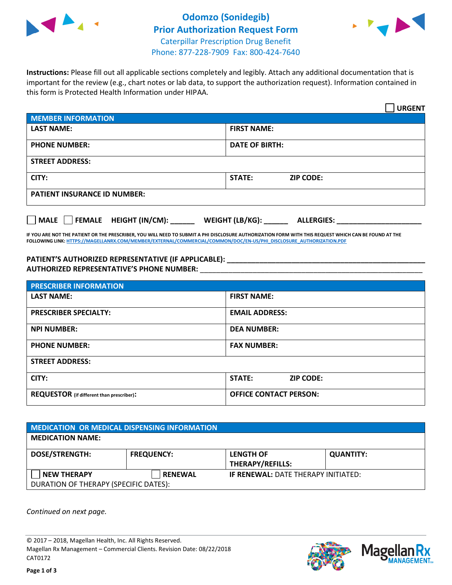

## **Odomzo (Sonidegib) Prior Authorization Request Form** Caterpillar Prescription Drug Benefit Phone: 877-228-7909 Fax: 800-424-7640



**Instructions:** Please fill out all applicable sections completely and legibly. Attach any additional documentation that is important for the review (e.g., chart notes or lab data, to support the authorization request). Information contained in this form is Protected Health Information under HIPAA.

|                                       | <b>URGENT</b>                        |  |  |  |
|---------------------------------------|--------------------------------------|--|--|--|
| <b>MEMBER INFORMATION</b>             |                                      |  |  |  |
| <b>LAST NAME:</b>                     | <b>FIRST NAME:</b>                   |  |  |  |
| <b>PHONE NUMBER:</b>                  | <b>DATE OF BIRTH:</b>                |  |  |  |
| <b>STREET ADDRESS:</b>                |                                      |  |  |  |
| CITY:                                 | STATE:<br><b>ZIP CODE:</b>           |  |  |  |
| <b>PATIENT INSURANCE ID NUMBER:</b>   |                                      |  |  |  |
| FEMALE HEIGHT (IN/CM):<br><b>MALE</b> | WEIGHT (LB/KG):<br><b>ALLERGIES:</b> |  |  |  |

**IF YOU ARE NOT THE PATIENT OR THE PRESCRIBER, YOU WILL NEED TO SUBMIT A PHI DISCLOSURE AUTHORIZATION FORM WITH THIS REQUEST WHICH CAN BE FOUND AT THE FOLLOWING LINK[: HTTPS://MAGELLANRX.COM/MEMBER/EXTERNAL/COMMERCIAL/COMMON/DOC/EN-US/PHI\\_DISCLOSURE\\_AUTHORIZATION.PDF](https://magellanrx.com/member/external/commercial/common/doc/en-us/PHI_Disclosure_Authorization.pdf)**

**PATIENT'S AUTHORIZED REPRESENTATIVE (IF APPLICABLE): \_\_\_\_\_\_\_\_\_\_\_\_\_\_\_\_\_\_\_\_\_\_\_\_\_\_\_\_\_\_\_\_\_\_\_\_\_\_\_\_\_\_\_\_\_\_\_\_\_ AUTHORIZED REPRESENTATIVE'S PHONE NUMBER:** \_\_\_\_\_\_\_\_\_\_\_\_\_\_\_\_\_\_\_\_\_\_\_\_\_\_\_\_\_\_\_\_\_\_\_\_\_\_\_\_\_\_\_\_\_\_\_\_\_\_\_\_\_\_\_

| <b>PRESCRIBER INFORMATION</b>             |                               |  |  |  |
|-------------------------------------------|-------------------------------|--|--|--|
| <b>LAST NAME:</b>                         | <b>FIRST NAME:</b>            |  |  |  |
| <b>PRESCRIBER SPECIALTY:</b>              | <b>EMAIL ADDRESS:</b>         |  |  |  |
| <b>NPI NUMBER:</b>                        | <b>DEA NUMBER:</b>            |  |  |  |
| <b>PHONE NUMBER:</b>                      | <b>FAX NUMBER:</b>            |  |  |  |
| <b>STREET ADDRESS:</b>                    |                               |  |  |  |
| CITY:                                     | STATE:<br><b>ZIP CODE:</b>    |  |  |  |
| REQUESTOR (if different than prescriber): | <b>OFFICE CONTACT PERSON:</b> |  |  |  |

| <b>MEDICATION OR MEDICAL DISPENSING INFORMATION</b> |                   |                                            |                  |  |  |
|-----------------------------------------------------|-------------------|--------------------------------------------|------------------|--|--|
| <b>MEDICATION NAME:</b>                             |                   |                                            |                  |  |  |
| <b>DOSE/STRENGTH:</b>                               | <b>FREQUENCY:</b> | <b>LENGTH OF</b>                           | <b>QUANTITY:</b> |  |  |
|                                                     |                   | <b>THERAPY/REFILLS:</b>                    |                  |  |  |
| <b>NEW THERAPY</b>                                  | <b>RENEWAL</b>    | <b>IF RENEWAL: DATE THERAPY INITIATED:</b> |                  |  |  |
| DURATION OF THERAPY (SPECIFIC DATES):               |                   |                                            |                  |  |  |

*Continued on next page.*

© 2017 – 2018, Magellan Health, Inc. All Rights Reserved. Magellan Rx Management – Commercial Clients. Revision Date: 08/22/2018 CAT0172



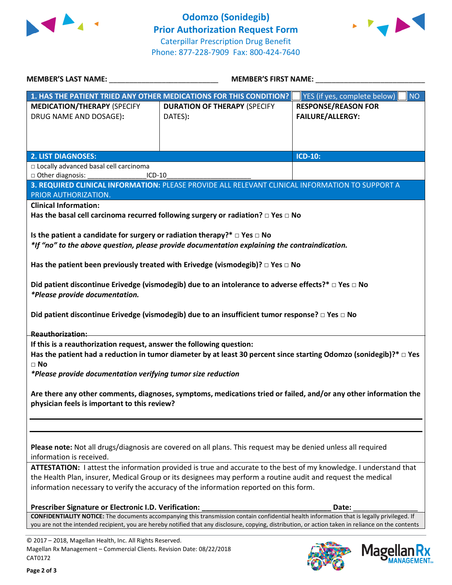



| <b>MEMBER'S LAST NAME:</b> NAME                                                                                                                                                                                                    | <b>MEMBER'S FIRST NAME:</b>                                                                                                                         |                                           |  |  |  |
|------------------------------------------------------------------------------------------------------------------------------------------------------------------------------------------------------------------------------------|-----------------------------------------------------------------------------------------------------------------------------------------------------|-------------------------------------------|--|--|--|
|                                                                                                                                                                                                                                    | 1. HAS THE PATIENT TRIED ANY OTHER MEDICATIONS FOR THIS CONDITION?                                                                                  | YES (if yes, complete below)<br><b>NO</b> |  |  |  |
| <b>MEDICATION/THERAPY (SPECIFY</b>                                                                                                                                                                                                 | <b>DURATION OF THERAPY (SPECIFY</b>                                                                                                                 | <b>RESPONSE/REASON FOR</b>                |  |  |  |
| DRUG NAME AND DOSAGE):                                                                                                                                                                                                             | DATES):                                                                                                                                             | <b>FAILURE/ALLERGY:</b>                   |  |  |  |
|                                                                                                                                                                                                                                    |                                                                                                                                                     |                                           |  |  |  |
|                                                                                                                                                                                                                                    |                                                                                                                                                     |                                           |  |  |  |
| <b>2. LIST DIAGNOSES:</b>                                                                                                                                                                                                          |                                                                                                                                                     | ICD-10:                                   |  |  |  |
| □ Locally advanced basal cell carcinoma                                                                                                                                                                                            |                                                                                                                                                     |                                           |  |  |  |
| □ Other diagnosis:<br>$ICD-10$                                                                                                                                                                                                     |                                                                                                                                                     |                                           |  |  |  |
|                                                                                                                                                                                                                                    | 3. REQUIRED CLINICAL INFORMATION: PLEASE PROVIDE ALL RELEVANT CLINICAL INFORMATION TO SUPPORT A                                                     |                                           |  |  |  |
| PRIOR AUTHORIZATION.                                                                                                                                                                                                               |                                                                                                                                                     |                                           |  |  |  |
| <b>Clinical Information:</b>                                                                                                                                                                                                       |                                                                                                                                                     |                                           |  |  |  |
|                                                                                                                                                                                                                                    | Has the basal cell carcinoma recurred following surgery or radiation? $\Box$ Yes $\Box$ No                                                          |                                           |  |  |  |
|                                                                                                                                                                                                                                    |                                                                                                                                                     |                                           |  |  |  |
| Is the patient a candidate for surgery or radiation therapy?* $\Box$ Yes $\Box$ No                                                                                                                                                 | *If "no" to the above question, please provide documentation explaining the contraindication.                                                       |                                           |  |  |  |
|                                                                                                                                                                                                                                    |                                                                                                                                                     |                                           |  |  |  |
|                                                                                                                                                                                                                                    | Has the patient been previously treated with Erivedge (vismodegib)? $\Box$ Yes $\Box$ No                                                            |                                           |  |  |  |
|                                                                                                                                                                                                                                    |                                                                                                                                                     |                                           |  |  |  |
|                                                                                                                                                                                                                                    | Did patient discontinue Erivedge (vismodegib) due to an intolerance to adverse effects?* $\Box$ Yes $\Box$ No                                       |                                           |  |  |  |
| *Please provide documentation.                                                                                                                                                                                                     |                                                                                                                                                     |                                           |  |  |  |
|                                                                                                                                                                                                                                    |                                                                                                                                                     |                                           |  |  |  |
|                                                                                                                                                                                                                                    | Did patient discontinue Erivedge (vismodegib) due to an insufficient tumor response? $\square$ Yes $\square$ No                                     |                                           |  |  |  |
| <b>Reauthorization:</b>                                                                                                                                                                                                            |                                                                                                                                                     |                                           |  |  |  |
| If this is a reauthorization request, answer the following question:                                                                                                                                                               |                                                                                                                                                     |                                           |  |  |  |
|                                                                                                                                                                                                                                    | Has the patient had a reduction in tumor diameter by at least 30 percent since starting Odomzo (sonidegib)?* $\Box$ Yes                             |                                           |  |  |  |
| $\Box$ No                                                                                                                                                                                                                          |                                                                                                                                                     |                                           |  |  |  |
| *Please provide documentation verifying tumor size reduction                                                                                                                                                                       |                                                                                                                                                     |                                           |  |  |  |
|                                                                                                                                                                                                                                    |                                                                                                                                                     |                                           |  |  |  |
| Are there any other comments, diagnoses, symptoms, medications tried or failed, and/or any other information the                                                                                                                   |                                                                                                                                                     |                                           |  |  |  |
| physician feels is important to this review?                                                                                                                                                                                       |                                                                                                                                                     |                                           |  |  |  |
|                                                                                                                                                                                                                                    |                                                                                                                                                     |                                           |  |  |  |
|                                                                                                                                                                                                                                    |                                                                                                                                                     |                                           |  |  |  |
|                                                                                                                                                                                                                                    |                                                                                                                                                     |                                           |  |  |  |
| Please note: Not all drugs/diagnosis are covered on all plans. This request may be denied unless all required                                                                                                                      |                                                                                                                                                     |                                           |  |  |  |
| information is received.                                                                                                                                                                                                           |                                                                                                                                                     |                                           |  |  |  |
| ATTESTATION: I attest the information provided is true and accurate to the best of my knowledge. I understand that<br>the Health Plan, insurer, Medical Group or its designees may perform a routine audit and request the medical |                                                                                                                                                     |                                           |  |  |  |
| information necessary to verify the accuracy of the information reported on this form.                                                                                                                                             |                                                                                                                                                     |                                           |  |  |  |
|                                                                                                                                                                                                                                    |                                                                                                                                                     |                                           |  |  |  |
| Prescriber Signature or Electronic I.D. Verification:                                                                                                                                                                              |                                                                                                                                                     | Date:                                     |  |  |  |
| CONFIDENTIALITY NOTICE: The documents accompanying this transmission contain confidential health information that is legally privileged. If                                                                                        |                                                                                                                                                     |                                           |  |  |  |
|                                                                                                                                                                                                                                    | you are not the intended recipient, you are hereby notified that any disclosure, copying, distribution, or action taken in reliance on the contents |                                           |  |  |  |

© 2017 – 2018, Magellan Health, Inc. All Rights Reserved. Magellan Rx Management – Commercial Clients. Revision Date: 08/22/2018 CAT0172



**Mage** 

**Ilan Rx<br>ANAGEMENT**